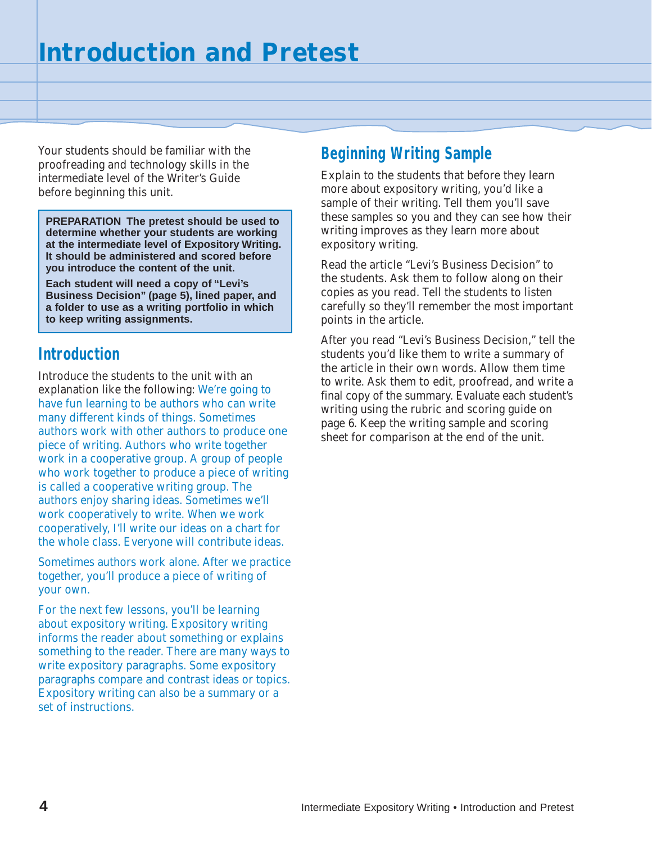Your students should be familiar with the proofreading and technology skills in the intermediate level of the Writer's Guide before beginning this unit.

**PREPARATION The pretest should be used to determine whether your students are working at the intermediate level of Expository Writing. It should be administered and scored before you introduce the content of the unit.**

**Each student will need a copy of "Levi's Business Decision" (page 5), lined paper, and a folder to use as a writing portfolio in which to keep writing assignments.**

## **Introduction**

Introduce the students to the unit with an explanation like the following: We're going to have fun learning to be authors who can write many different kinds of things. Sometimes authors work with other authors to produce one piece of writing. Authors who write together work in a cooperative group. A group of people who work together to produce a piece of writing is called a cooperative writing group. The authors enjoy sharing ideas. Sometimes we'll work cooperatively to write. When we work cooperatively, I'll write our ideas on a chart for the whole class. Everyone will contribute ideas.

Sometimes authors work alone. After we practice together, you'll produce a piece of writing of your own.

For the next few lessons, you'll be learning about expository writing. Expository writing informs the reader about something or explains something to the reader. There are many ways to write expository paragraphs. Some expository paragraphs compare and contrast ideas or topics. Expository writing can also be a summary or a set of instructions.

# **Beginning Writing Sample**

Explain to the students that before they learn more about expository writing, you'd like a sample of their writing. Tell them you'll save these samples so you and they can see how their writing improves as they learn more about expository writing.

Read the article "Levi's Business Decision" to the students. Ask them to follow along on their copies as you read. Tell the students to listen carefully so they'll remember the most important points in the article.

After you read "Levi's Business Decision," tell the students you'd like them to write a summary of the article in their own words. Allow them time to write. Ask them to edit, proofread, and write a final copy of the summary. Evaluate each student's writing using the rubric and scoring guide on page 6. Keep the writing sample and scoring sheet for comparison at the end of the unit.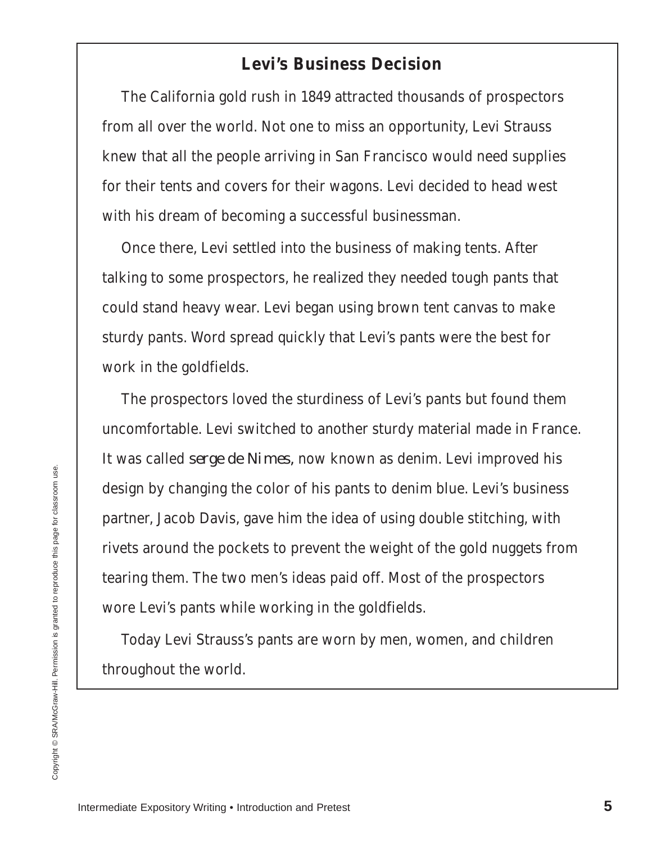### **Levi's Business Decision**

The California gold rush in 1849 attracted thousands of prospectors from all over the world. Not one to miss an opportunity, Levi Strauss knew that all the people arriving in San Francisco would need supplies for their tents and covers for their wagons. Levi decided to head west with his dream of becoming a successful businessman.

Once there, Levi settled into the business of making tents. After talking to some prospectors, he realized they needed tough pants that could stand heavy wear. Levi began using brown tent canvas to make sturdy pants. Word spread quickly that Levi's pants were the best for work in the goldfields.

The prospectors loved the sturdiness of Levi's pants but found them uncomfortable. Levi switched to another sturdy material made in France. It was called *serge de Nimes,* now known as denim. Levi improved his design by changing the color of his pants to denim blue. Levi's business partner, Jacob Davis, gave him the idea of using double stitching, with rivets around the pockets to prevent the weight of the gold nuggets from tearing them. The two men's ideas paid off. Most of the prospectors wore Levi's pants while working in the goldfields.

Today Levi Strauss's pants are worn by men, women, and children throughout the world.